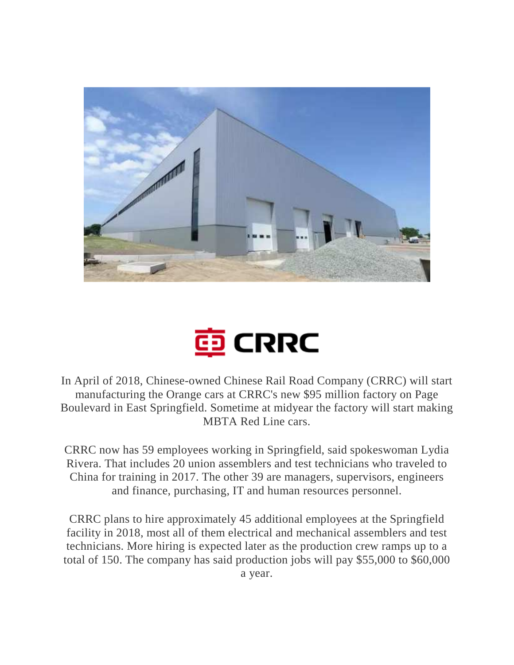



In April of 2018, Chinese-owned Chinese Rail Road Company (CRRC) will start manufacturing the Orange cars at CRRC's new \$95 million factory on Page Boulevard in East Springfield. Sometime at midyear the factory will start making MBTA Red Line cars.

CRRC now has 59 employees working in Springfield, said spokeswoman Lydia Rivera. That includes 20 union assemblers and test technicians who traveled to China for training in 2017. The other 39 are managers, supervisors, engineers and finance, purchasing, IT and human resources personnel.

CRRC plans to hire approximately 45 additional employees at the Springfield facility in 2018, most all of them electrical and mechanical assemblers and test technicians. More hiring is expected later as the production crew ramps up to a total of 150. The company has said production jobs will pay \$55,000 to \$60,000 a year.